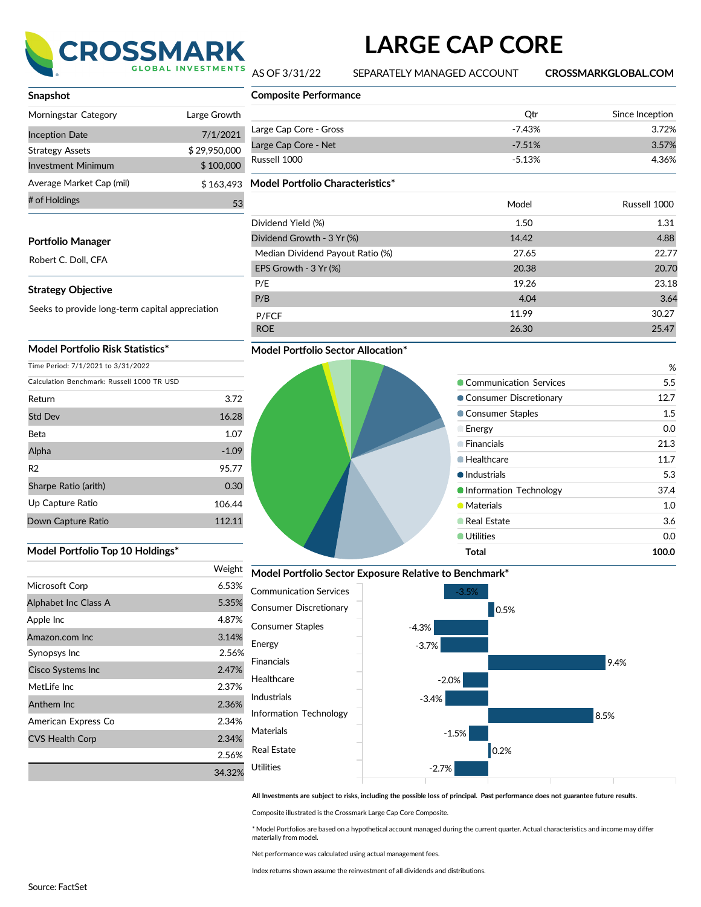

# **LARGE CAP CORE**

AS OF 3/31/22 SEPARATELY MANAGED ACCOUNT **CROSSMARKGLOBAL.COM**

| Snapshot                  |              |
|---------------------------|--------------|
| Morningstar Category      | Large Growth |
| <b>Inception Date</b>     | 7/1/2021     |
| <b>Strategy Assets</b>    | \$29,950,000 |
| <b>Investment Minimum</b> | \$100,000    |
| Average Market Cap (mil)  | \$163.493    |
| # of Holdings             | 53           |

## **Portfolio Manager**

Robert C. Doll, CFA

#### **Strategy Objective**

Seeks to provide long-term capital appreciation

## **Model Portfolio Risk Statistics\***

Time Period: 7/1/2021 to 3/31/2022

| Calculation Benchmark: Russell 1000 TR USD |         |  |  |
|--------------------------------------------|---------|--|--|
| Return                                     | 3.72    |  |  |
| <b>Std Dev</b>                             | 16.28   |  |  |
| Beta                                       | 1.07    |  |  |
| Alpha                                      | $-1.09$ |  |  |
| R <sub>2</sub>                             | 95.77   |  |  |
| Sharpe Ratio (arith)                       | 0.30    |  |  |
| Up Capture Ratio                           | 106.44  |  |  |
| Down Capture Ratio                         | 112.11  |  |  |

### **Model Portfolio Top 10 Holdings\***

|                        | Weight |
|------------------------|--------|
| Microsoft Corp         | 6.53%  |
| Alphabet Inc Class A   | 5.35%  |
| Apple Inc              | 4.87%  |
| Amazon.com Inc         | 3.14%  |
| Synopsys Inc           | 2.56%  |
| Cisco Systems Inc      | 2.47%  |
| Metl ife Inc           | 2.37%  |
| Anthem Inc             | 2.36%  |
| American Express Co    | 2.34%  |
| <b>CVS Health Corp</b> | 2.34%  |
|                        | 2.56%  |
|                        | 34.32% |

|    | <b>Composite Performance</b>     |          |                 |
|----|----------------------------------|----------|-----------------|
| th |                                  | Qtr      | Since Inception |
| 21 | Large Cap Core - Gross           | $-7.43%$ | 3.72%           |
| 00 | Large Cap Core - Net             | $-7.51%$ | 3.57%           |
| ОC | Russell 1000                     | $-5.13%$ | 4.36%           |
| 93 | Model Portfolio Characteristics* |          |                 |
| 53 |                                  | Model    | Russell 1000    |
|    | Dividend Yield (%)               | 1.50     | 1.31            |
|    | Dividend Growth - 3 Yr (%)       | 14.42    | 4.88            |
|    | Median Dividend Payout Ratio (%) | 27.65    | 22.77           |
|    | EPS Growth - 3 Yr (%)            | 20.38    | 20.70           |
|    | P/E                              | 19.26    | 23.18           |
|    | P/B                              | 4.04     | 3.64            |
|    | P/FCF                            | 11.99    | 30.27           |
|    | <b>ROE</b>                       | 26.30    | 25.47           |

## **Model Portfolio Sector Allocation\***

## % **Communication Services** 5.5 ● Consumer Discretionary 12.7 **Consumer Staples** 1.5 Energy 0.0 Financials 21.3 ● Healthcare 11.7 ● Industrials 5.3  $\bullet$  Information Technology 37.4 **Materials** 1.0 **Canadian Estate** 3.6 ● Utilities 0.0 **Total 100.0**

**Model Portfolio Sector Exposure Relative to Benchmark\***



All Investments are subject to risks, including the possible loss of principal. Past performance does not guarantee future results.

Composite illustrated is the Crossmark Large Cap Core Composite.

Energy

\* Model Portfolios are based on a hypothetical account managed during the current quarter. Actual characteristics and income may differ materially from model**.**

Net performance was calculated using actual management fees.

Index returns shown assume the reinvestment of all dividends and distributions.